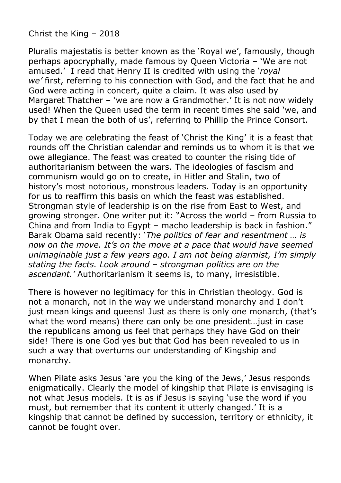Christ the King – 2018

Pluralis majestatis is better known as the 'Royal we', famously, though perhaps apocryphally, made famous by Queen Victoria – 'We are not amused.' I read that Henry II is credited with using the '*royal we'* first, referring to his connection with God, and the fact that he and God were acting in concert, quite a claim. It was also used by Margaret Thatcher – 'we are now a Grandmother.' It is not now widely used! When the Queen used the term in recent times she said 'we, and by that I mean the both of us', referring to Phillip the Prince Consort.

Today we are celebrating the feast of 'Christ the King' it is a feast that rounds off the Christian calendar and reminds us to whom it is that we owe allegiance. The feast was created to counter the rising tide of authoritarianism between the wars. The ideologies of fascism and communism would go on to create, in Hitler and Stalin, two of history's most notorious, monstrous leaders. Today is an opportunity for us to reaffirm this basis on which the feast was established. Strongman style of leadership is on the rise from East to West, and growing stronger. One writer put it: "Across the world – from Russia to China and from India to Egypt – macho leadership is back in fashion." Barak Obama said recently: '*The politics of fear and resentment … is now on the move. It's on the move at a pace that would have seemed unimaginable just a few years ago. I am not being alarmist, I'm simply stating the facts. Look around – strongman politics are on the ascendant.'* Authoritarianism it seems is, to many, irresistible.

There is however no legitimacy for this in Christian theology. God is not a monarch, not in the way we understand monarchy and I don't just mean kings and queens! Just as there is only one monarch, (that's what the word means) there can only be one president…just in case the republicans among us feel that perhaps they have God on their side! There is one God yes but that God has been revealed to us in such a way that overturns our understanding of Kingship and monarchy.

When Pilate asks Jesus 'are you the king of the Jews,' Jesus responds enigmatically. Clearly the model of kingship that Pilate is envisaging is not what Jesus models. It is as if Jesus is saying 'use the word if you must, but remember that its content it utterly changed.' It is a kingship that cannot be defined by succession, territory or ethnicity, it cannot be fought over.